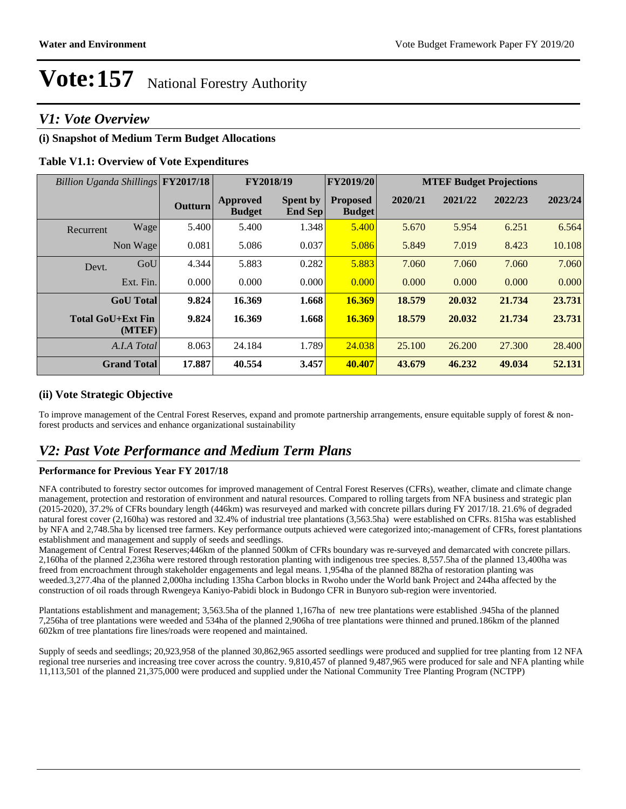### *V1: Vote Overview*

#### **(i) Snapshot of Medium Term Budget Allocations**

#### **Table V1.1: Overview of Vote Expenditures**

| Billion Uganda Shillings FY2017/18 |                  | FY2018/19      |                                  |                            | <b>FY2019/20</b>                 | <b>MTEF Budget Projections</b> |         |         |         |
|------------------------------------|------------------|----------------|----------------------------------|----------------------------|----------------------------------|--------------------------------|---------|---------|---------|
|                                    |                  | <b>Outturn</b> | <b>Approved</b><br><b>Budget</b> | <b>Spent by</b><br>End Sep | <b>Proposed</b><br><b>Budget</b> | 2020/21                        | 2021/22 | 2022/23 | 2023/24 |
| Recurrent                          | Wage             | 5.400          | 5.400                            | 1.348                      | 5.400                            | 5.670                          | 5.954   | 6.251   | 6.564   |
|                                    | Non Wage         | 0.081          | 5.086                            | 0.037                      | 5.086                            | 5.849                          | 7.019   | 8.423   | 10.108  |
| Devt.                              | GoU              | 4.344          | 5.883                            | 0.282                      | 5.883                            | 7.060                          | 7.060   | 7.060   | 7.060   |
|                                    | Ext. Fin.        | 0.000          | 0.000                            | 0.000                      | 0.000                            | 0.000                          | 0.000   | 0.000   | 0.000   |
|                                    | <b>GoU</b> Total | 9.824          | 16.369                           | 1.668                      | 16.369                           | 18.579                         | 20.032  | 21.734  | 23.731  |
| <b>Total GoU+Ext Fin</b>           | (MTEF)           | 9.824          | 16.369                           | 1.668                      | 16.369                           | 18.579                         | 20.032  | 21.734  | 23.731  |
|                                    | A.I.A Total      | 8.063          | 24.184                           | 1.789                      | 24.038                           | 25.100                         | 26.200  | 27.300  | 28,400  |
| <b>Grand Total</b>                 |                  | 17.887         | 40.554                           | 3.457                      | 40.407                           | 43.679                         | 46.232  | 49.034  | 52.131  |

#### **(ii) Vote Strategic Objective**

To improve management of the Central Forest Reserves, expand and promote partnership arrangements, ensure equitable supply of forest & nonforest products and services and enhance organizational sustainability

## *V2: Past Vote Performance and Medium Term Plans*

#### **Performance for Previous Year FY 2017/18**

NFA contributed to forestry sector outcomes for improved management of Central Forest Reserves (CFRs), weather, climate and climate change management, protection and restoration of environment and natural resources. Compared to rolling targets from NFA business and strategic plan (2015-2020), 37.2% of CFRs boundary length (446km) was resurveyed and marked with concrete pillars during FY 2017/18. 21.6% of degraded natural forest cover (2,160ha) was restored and 32.4% of industrial tree plantations (3,563.5ha) were established on CFRs. 815ha was established by NFA and 2,748.5ha by licensed tree farmers. Key performance outputs achieved were categorized into;-management of CFRs, forest plantations establishment and management and supply of seeds and seedlings.

Management of Central Forest Reserves;446km of the planned 500km of CFRs boundary was re-surveyed and demarcated with concrete pillars. 2,160ha of the planned 2,236ha were restored through restoration planting with indigenous tree species. 8,557.5ha of the planned 13,400ha was freed from encroachment through stakeholder engagements and legal means. 1,954ha of the planned 882ha of restoration planting was weeded.3,277.4ha of the planned 2,000ha including 135ha Carbon blocks in Rwoho under the World bank Project and 244ha affected by the construction of oil roads through Rwengeya Kaniyo-Pabidi block in Budongo CFR in Bunyoro sub-region were inventoried.

Plantations establishment and management; 3,563.5ha of the planned 1,167ha of new tree plantations were established .945ha of the planned 7,256ha of tree plantations were weeded and 534ha of the planned 2,906ha of tree plantations were thinned and pruned.186km of the planned 602km of tree plantations fire lines/roads were reopened and maintained.

Supply of seeds and seedlings; 20,923,958 of the planned 30,862,965 assorted seedlings were produced and supplied for tree planting from 12 NFA regional tree nurseries and increasing tree cover across the country. 9,810,457 of planned 9,487,965 were produced for sale and NFA planting while 11,113,501 of the planned 21,375,000 were produced and supplied under the National Community Tree Planting Program (NCTPP)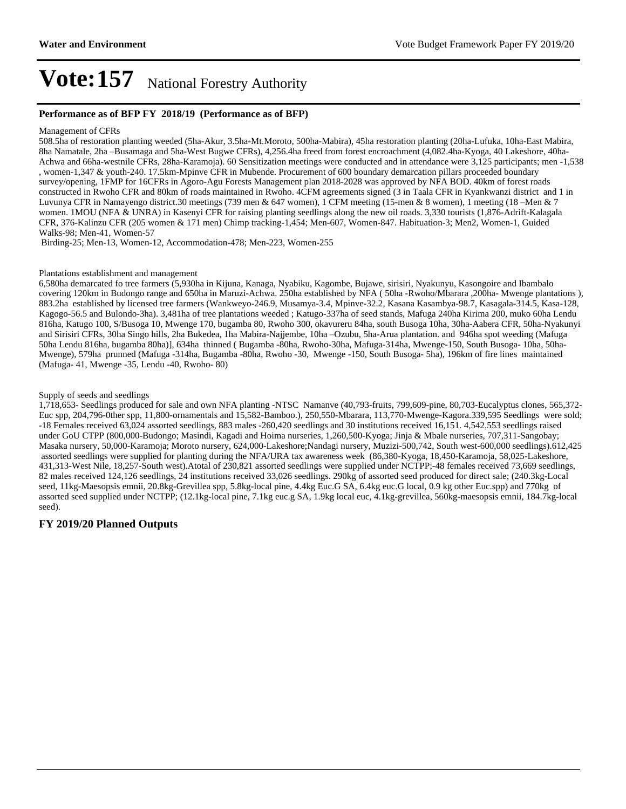#### **Performance as of BFP FY 2018/19 (Performance as of BFP)**

#### Management of CFRs

508.5ha of restoration planting weeded (5ha-Akur, 3.5ha-Mt.Moroto, 500ha-Mabira), 45ha restoration planting (20ha-Lufuka, 10ha-East Mabira, 8ha Namatale, 2ha -Busamaga and 5ha-West Bugwe CFRs), 4,256.4ha freed from forest encroachment (4,082.4ha-Kyoga, 40 Lakeshore, 40ha-Achwa and 66ha-westnile CFRs, 28ha-Karamoja). 60 Sensitization meetings were conducted and in attendance were 3,125 participants; men -1,538 , women-1,347 & youth-240. 17.5km-Mpinve CFR in Mubende. Procurement of 600 boundary demarcation pillars proceeded boundary survey/opening, 1FMP for 16CFRs in Agoro-Agu Forests Management plan 2018-2028 was approved by NFA BOD. 40km of forest roads constructed in Rwoho CFR and 80km of roads maintained in Rwoho. 4CFM agreements signed (3 in Taala CFR in Kyankwanzi district and 1 in Luvunya CFR in Namayengo district.30 meetings (739 men & 647 women), 1 CFM meeting (15-men & 8 women), 1 meeting (18 – Men & 7 women. 1MOU (NFA & UNRA) in Kasenyi CFR for raising planting seedlings along the new oil roads. 3,330 tourists (1,876-Adrift-Kalagala CFR, 376-Kalinzu CFR (205 women & 171 men) Chimp tracking-1,454; Men-607, Women-847. Habituation-3; Men2, Women-1, Guided Walks-98; Men-41, Women-57

Birding-25; Men-13, Women-12, Accommodation-478; Men-223, Women-255

#### Plantations establishment and management

6,580ha demarcated fo tree farmers (5,930ha in Kijuna, Kanaga, Nyabiku, Kagombe, Bujawe, sirisiri, Nyakunyu, Kasongoire and Ibambalo covering 120km in Budongo range and 650ha in Maruzi-Achwa. 250ha established by NFA ( 50ha -Rwoho/Mbarara ,200ha- Mwenge plantations ), 883.2ha established by licensed tree farmers (Wankweyo-246.9, Musamya-3.4, Mpinve-32.2, Kasana Kasambya-98.7, Kasagala-314.5, Kasa-128, Kagogo-56.5 and Bulondo-3ha). 3,481ha of tree plantations weeded ; Katugo-337ha of seed stands, Mafuga 240ha Kirima 200, muko 60ha Lendu 816ha, Katugo 100, S/Busoga 10, Mwenge 170, bugamba 80, Rwoho 300, okavureru 84ha, south Busoga 10ha, 30ha-Aabera CFR, 50ha-Nyakunyi and Sirisiri CFRs, 30ha Singo hills, 2ha Bukedea, 1ha Mabira-Najjembe, 10ha -Ozubu, 5ha-Arua plantation. and 946ha spot weeding (Mafuga 50ha Lendu 816ha, bugamba 80ha)], 634ha thinned ( Bugamba -80ha, Rwoho-30ha, Mafuga-314ha, Mwenge-150, South Busoga- 10ha, 50ha-Mwenge), 579ha prunned (Mafuga -314ha, Bugamba -80ha, Rwoho -30, Mwenge -150, South Busoga- 5ha), 196km of fire lines maintained (Mafuga- 41, Mwenge -35, Lendu -40, Rwoho- 80)

#### Supply of seeds and seedlings

1,718,653- Seedlings produced for sale and own NFA planting -NTSC Namanve (40,793-fruits, 799,609-pine, 80,703-Eucalyptus clones, 565,372- Euc spp, 204,796-0ther spp, 11,800-ornamentals and 15,582-Bamboo.), 250,550-Mbarara, 113,770-Mwenge-Kagora.339,595 Seedlings were sold; -18 Females received 63,024 assorted seedlings, 883 males -260,420 seedlings and 30 institutions received 16,151. 4,542,553 seedlings raised under GoU CTPP (800,000-Budongo; Masindi, Kagadi and Hoima nurseries, 1,260,500-Kyoga; Jinja & Mbale nurseries, 707,311-Sangobay; Masaka nursery, 50,000-Karamoja; Moroto nursery, 624,000-Lakeshore;Nandagi nursery, Muzizi-500,742, South west-600,000 seedlings).612,425 assorted seedlings were supplied for planting during the NFA/URA tax awareness week (86,380-Kyoga, 18,450-Karamoja, 58,025-Lakeshore, 431,313-West Nile, 18,257-South west).Atotal of 230,821 assorted seedlings were supplied under NCTPP;-48 females received 73,669 seedlings, 82 males received 124,126 seedlings, 24 institutions received 33,026 seedlings. 290kg of assorted seed produced for direct sale; (240.3kg-Local seed, 11kg-Maesopsis emnii, 20.8kg-Grevillea spp, 5.8kg-local pine, 4.4kg Euc.G SA, 6.4kg euc.G local, 0.9 kg other Euc.spp) and 770kg of assorted seed supplied under NCTPP; (12.1kg-local pine, 7.1kg euc.g SA, 1.9kg local euc, 4.1kg-grevillea, 560kg-maesopsis emnii, 184.7kg-local seed).

#### **FY 2019/20 Planned Outputs**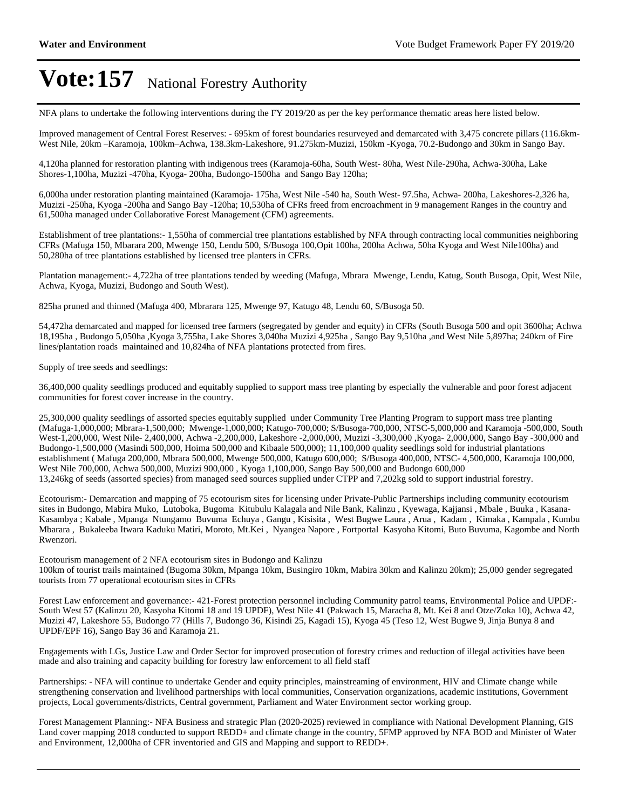NFA plans to undertake the following interventions during the FY 2019/20 as per the key performance thematic areas here listed below.

Improved management of Central Forest Reserves: - 695km of forest boundaries resurveyed and demarcated with 3,475 concrete pillars (116.6km-West Nile, 20km -Karamoja, 100km-Achwa, 138.3km-Lakeshore, 91.275km-Muzizi, 150km -Kyoga, 70.2-Budongo and 30km in Sango Bay.

4,120ha planned for restoration planting with indigenous trees (Karamoja-60ha, South West- 80ha, West Nile-290ha, Achwa-300ha, Lake Shores-1,100ha, Muzizi -470ha, Kyoga- 200ha, Budongo-1500ha and Sango Bay 120ha;

6,000ha under restoration planting maintained (Karamoja- 175ha, West Nile -540 ha, South West- 97.5ha, Achwa- 200ha, Lakeshores-2,326 ha, Muzizi -250ha, Kyoga -200ha and Sango Bay -120ha; 10,530ha of CFRs freed from encroachment in 9 management Ranges in the country and 61,500ha managed under Collaborative Forest Management (CFM) agreements.

Establishment of tree plantations:- 1,550ha of commercial tree plantations established by NFA through contracting local communities neighboring CFRs (Mafuga 150, Mbarara 200, Mwenge 150, Lendu 500, S/Busoga 100,Opit 100ha, 200ha Achwa, 50ha Kyoga and West Nile100ha) and 50,280ha of tree plantations established by licensed tree planters in CFRs.

Plantation management:- 4,722ha of tree plantations tended by weeding (Mafuga, Mbrara Mwenge, Lendu, Katug, South Busoga, Opit, West Nile, Achwa, Kyoga, Muzizi, Budongo and South West).

825ha pruned and thinned (Mafuga 400, Mbrarara 125, Mwenge 97, Katugo 48, Lendu 60, S/Busoga 50.

54,472ha demarcated and mapped for licensed tree farmers (segregated by gender and equity) in CFRs (South Busoga 500 and opit 3600ha; Achwa 18,195ha , Budongo 5,050ha ,Kyoga 3,755ha, Lake Shores 3,040ha Muzizi 4,925ha , Sango Bay 9,510ha ,and West Nile 5,897ha; 240km of Fire lines/plantation roads maintained and 10,824ha of NFA plantations protected from fires.

Supply of tree seeds and seedlings:

36,400,000 quality seedlings produced and equitably supplied to support mass tree planting by especially the vulnerable and poor forest adjacent communities for forest cover increase in the country.

25,300,000 quality seedlings of assorted species equitably supplied under Community Tree Planting Program to support mass tree planting (Mafuga-1,000,000; Mbrara-1,500,000; Mwenge-1,000,000; Katugo-700,000; S/Busoga-700,000, NTSC-5,000,000 and Karamoja -500,000, South West-1,200,000, West Nile- 2,400,000, Achwa -2,200,000, Lakeshore -2,000,000, Muzizi -3,300,000 ,Kyoga- 2,000,000, Sango Bay -300,000 and Budongo-1,500,000 (Masindi 500,000, Hoima 500,000 and Kibaale 500,000); 11,100,000 quality seedlings sold for industrial plantations establishment ( Mafuga 200,000, Mbrara 500,000, Mwenge 500,000, Katugo 600,000; S/Busoga 400,000, NTSC- 4,500,000, Karamoja 100,000, West Nile 700,000, Achwa 500,000, Muzizi 900,000 , Kyoga 1,100,000, Sango Bay 500,000 and Budongo 600,000 13,246kg of seeds (assorted species) from managed seed sources supplied under CTPP and 7,202kg sold to support industrial forestry.

Ecotourism:- Demarcation and mapping of 75 ecotourism sites for licensing under Private-Public Partnerships including community ecotourism sites in Budongo, Mabira Muko, Lutoboka, Bugoma Kitubulu Kalagala and Nile Bank, Kalinzu , Kyewaga, Kajjansi , Mbale , Buuka , Kasana-Kasambya ; Kabale , Mpanga Ntungamo Buvuma Echuya , Gangu , Kisisita , West Bugwe Laura , Arua , Kadam , Kimaka , Kampala , Kumbu Mbarara , Bukaleeba Itwara Kaduku Matiri, Moroto, Mt.Kei , Nyangea Napore , Fortportal Kasyoha Kitomi, Buto Buvuma, Kagombe and North Rwenzori.

Ecotourism management of 2 NFA ecotourism sites in Budongo and Kalinzu 100km of tourist trails maintained (Bugoma 30km, Mpanga 10km, Busingiro 10km, Mabira 30km and Kalinzu 20km); 25,000 gender segregated tourists from 77 operational ecotourism sites in CFRs

Forest Law enforcement and governance:- 421-Forest protection personnel including Community patrol teams, Environmental Police and UPDF:- South West 57 (Kalinzu 20, Kasyoha Kitomi 18 and 19 UPDF), West Nile 41 (Pakwach 15, Maracha 8, Mt. Kei 8 and Otze/Zoka 10), Achwa 42, Muzizi 47, Lakeshore 55, Budongo 77 (Hills 7, Budongo 36, Kisindi 25, Kagadi 15), Kyoga 45 (Teso 12, West Bugwe 9, Jinja Bunya 8 and UPDF/EPF 16), Sango Bay 36 and Karamoja 21.

Engagements with LGs, Justice Law and Order Sector for improved prosecution of forestry crimes and reduction of illegal activities have been made and also training and capacity building for forestry law enforcement to all field staff

Partnerships: - NFA will continue to undertake Gender and equity principles, mainstreaming of environment, HIV and Climate change while strengthening conservation and livelihood partnerships with local communities, Conservation organizations, academic institutions, Government projects, Local governments/districts, Central government, Parliament and Water Environment sector working group.

Forest Management Planning:- NFA Business and strategic Plan (2020-2025) reviewed in compliance with National Development Planning, GIS Land cover mapping 2018 conducted to support REDD+ and climate change in the country, 5FMP approved by NFA BOD and Minister of Water and Environment, 12,000ha of CFR inventoried and GIS and Mapping and support to REDD+.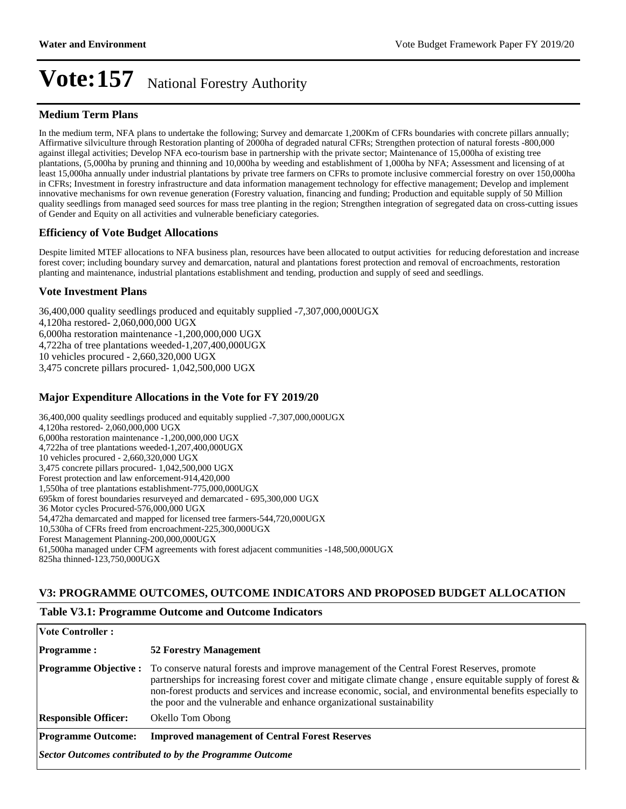#### **Medium Term Plans**

In the medium term, NFA plans to undertake the following; Survey and demarcate 1,200Km of CFRs boundaries with concrete pillars annually; Affirmative silviculture through Restoration planting of 2000ha of degraded natural CFRs; Strengthen protection of natural forests -800,000 against illegal activities; Develop NFA eco-tourism base in partnership with the private sector; Maintenance of 15,000ha of existing tree plantations, (5,000ha by pruning and thinning and 10,000ha by weeding and establishment of 1,000ha by NFA; Assessment and licensing of at least 15,000ha annually under industrial plantations by private tree farmers on CFRs to promote inclusive commercial forestry on over 150,000ha in CFRs; Investment in forestry infrastructure and data information management technology for effective management; Develop and implement innovative mechanisms for own revenue generation (Forestry valuation, financing and funding; Production and equitable supply of 50 Million quality seedlings from managed seed sources for mass tree planting in the region; Strengthen integration of segregated data on cross-cutting issues of Gender and Equity on all activities and vulnerable beneficiary categories.

#### **Efficiency of Vote Budget Allocations**

Despite limited MTEF allocations to NFA business plan, resources have been allocated to output activities for reducing deforestation and increase forest cover; including boundary survey and demarcation, natural and plantations forest protection and removal of encroachments, restoration planting and maintenance, industrial plantations establishment and tending, production and supply of seed and seedlings.

#### **Vote Investment Plans**

36,400,000 quality seedlings produced and equitably supplied -7,307,000,000UGX 4,120ha restored- 2,060,000,000 UGX 6,000ha restoration maintenance -1,200,000,000 UGX 4,722ha of tree plantations weeded-1,207,400,000UGX 10 vehicles procured - 2,660,320,000 UGX 3,475 concrete pillars procured- 1,042,500,000 UGX

#### **Major Expenditure Allocations in the Vote for FY 2019/20**

| 36,400,000 quality seedlings produced and equitably supplied -7,307,000,000UGX         |
|----------------------------------------------------------------------------------------|
| 4,120ha restored - 2,060,000,000 UGX                                                   |
| 6,000ha restoration maintenance -1,200,000,000 UGX                                     |
| 4,722ha of tree plantations weeded-1,207,400,000UGX                                    |
| 10 vehicles procured - 2,660,320,000 UGX                                               |
| 3,475 concrete pillars procured - 1,042,500,000 UGX                                    |
| Forest protection and law enforcement-914,420,000                                      |
| 1,550ha of tree plantations establishment-775,000,000UGX                               |
| 695 695 695,300,000 UGX                                                                |
| 36 Motor cycles Procured-576,000,000 UGX                                               |
| 54,472ha demarcated and mapped for licensed tree farmers-544,720,000UGX                |
| 10,530ha of CFRs freed from encroachment-225,300,000UGX                                |
| Forest Management Planning-200,000,000UGX                                              |
| 61,500ha managed under CFM agreements with forest adjacent communities -148,500,000UGX |
| 825ha thinned-123,750,000UGX                                                           |

#### **V3: PROGRAMME OUTCOMES, OUTCOME INDICATORS AND PROPOSED BUDGET ALLOCATION**

## **Vote Controller: Programme : 52 Forestry Management Programme Objective :** To conserve natural forests and improve management of the Central Forest Reserves, promote partnerships for increasing forest cover and mitigate climate change , ensure equitable supply of forest & non-forest products and services and increase economic, social, and environmental benefits especially to the poor and the vulnerable and enhance organizational sustainability **Responsible Officer:** Okello Tom Obong **Programme Outcome: Improved management of Central Forest Reserves**  *Sector Outcomes contributed to by the Programme Outcome*

#### **Table V3.1: Programme Outcome and Outcome Indicators**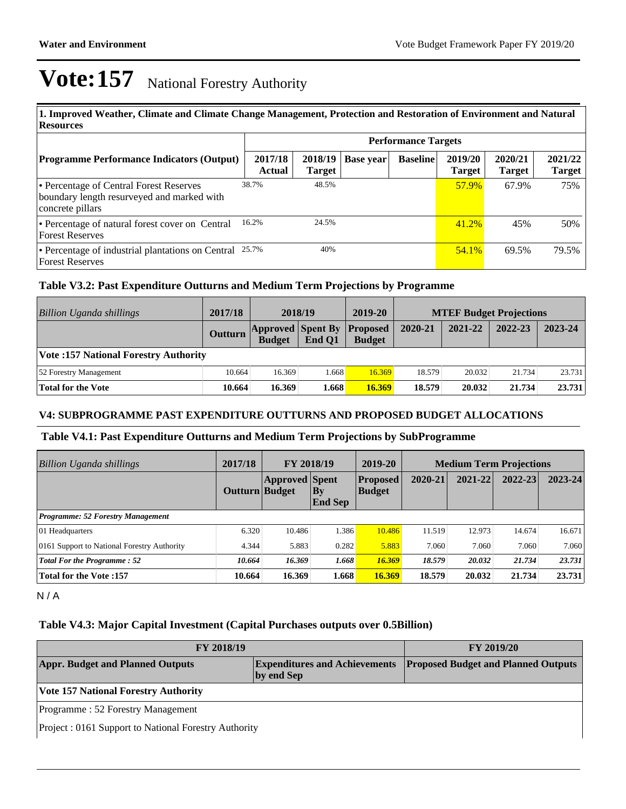| 1. Improved Weather, Climate and Climate Change Management, Protection and Restoration of Environment and Natural<br><b>Resources</b> |                   |                          |           |                            |                          |                          |                          |  |  |
|---------------------------------------------------------------------------------------------------------------------------------------|-------------------|--------------------------|-----------|----------------------------|--------------------------|--------------------------|--------------------------|--|--|
|                                                                                                                                       |                   |                          |           | <b>Performance Targets</b> |                          |                          |                          |  |  |
| <b>Programme Performance Indicators (Output)</b>                                                                                      | 2017/18<br>Actual | 2018/19<br><b>Target</b> | Base year | <b>Baseline</b>            | 2019/20<br><b>Target</b> | 2020/21<br><b>Target</b> | 2021/22<br><b>Target</b> |  |  |
| • Percentage of Central Forest Reserves<br>boundary length resurveyed and marked with<br>concrete pillars                             | 38.7%             | 48.5%                    |           |                            | <b>57.9%</b>             | 67.9%                    | 75%                      |  |  |
| • Percentage of natural forest cover on Central<br><b>Forest Reserves</b>                                                             | 16.2%             | 24.5%                    |           |                            | 41.2%                    | 45%                      | 50%                      |  |  |
| • Percentage of industrial plantations on Central 25.7%<br><b>Forest Reserves</b>                                                     |                   | 40%                      |           |                            | $54.1\%$                 | 69.5%                    | 79.5%                    |  |  |

#### **Table V3.2: Past Expenditure Outturns and Medium Term Projections by Programme**

| Billion Uganda shillings                    | 2017/18 | 2018/19                                   |        | 2019-20                          | <b>MTEF Budget Projections</b> |         |         |         |
|---------------------------------------------|---------|-------------------------------------------|--------|----------------------------------|--------------------------------|---------|---------|---------|
|                                             | Outturn | <b>Approved Spent By</b><br><b>Budget</b> | End O1 | <b>Proposed</b><br><b>Budget</b> | 2020-21                        | 2021-22 | 2022-23 | 2023-24 |
| <b>Vote:157 National Forestry Authority</b> |         |                                           |        |                                  |                                |         |         |         |
| 52 Forestry Management                      | 10.664  | 16.369                                    | 1.668  | 16.369                           | 18.579                         | 20.032  | 21.734  | 23.731  |
| <b>Total for the Vote</b>                   | 10.664  | 16.369                                    | 1.668  | 16.369                           | 18.579                         | 20.032  | 21.734  | 23.731  |

#### **V4: SUBPROGRAMME PAST EXPENDITURE OUTTURNS AND PROPOSED BUDGET ALLOCATIONS**

#### **Table V4.1: Past Expenditure Outturns and Medium Term Projections by SubProgramme**

| Billion Uganda shillings                    | 2017/18        | <b>FY 2018/19</b>     |                      | 2019-20                          | <b>Medium Term Projections</b> |         |         |             |
|---------------------------------------------|----------------|-----------------------|----------------------|----------------------------------|--------------------------------|---------|---------|-------------|
|                                             | Outturn Budget | <b>Approved</b> Spent | Bv<br><b>End Sep</b> | <b>Proposed</b><br><b>Budget</b> | 2020-21                        | 2021-22 | 2022-23 | $2023 - 24$ |
| <b>Programme: 52 Forestry Management</b>    |                |                       |                      |                                  |                                |         |         |             |
| 01 Headquarters                             | 6.320          | 10.486                | 1.386                | 10.486                           | 11.519                         | 12.973  | 14.674  | 16.671      |
| 0161 Support to National Forestry Authority | 4.344          | 5.883                 | 0.282                | 5.883                            | 7.060                          | 7.060   | 7.060   | 7.060       |
| <b>Total For the Programme: 52</b>          | 10.664         | 16.369                | 1.668                | 16.369                           | 18.579                         | 20.032  | 21.734  | 23.731      |
| <b>Total for the Vote:157</b>               | 10.664         | 16.369                | 1.668                | 16.369                           | 18.579                         | 20.032  | 21.734  | 23.731      |

N / A

#### **Table V4.3: Major Capital Investment (Capital Purchases outputs over 0.5Billion)**

| <b>FY 2018/19</b>                                                                             | <b>FY 2019/20</b>                          |  |  |  |  |  |  |
|-----------------------------------------------------------------------------------------------|--------------------------------------------|--|--|--|--|--|--|
| <b>Appr. Budget and Planned Outputs</b><br><b>Expenditures and Achievements</b><br>by end Sep | <b>Proposed Budget and Planned Outputs</b> |  |  |  |  |  |  |
| <b>Vote 157 National Forestry Authority</b>                                                   |                                            |  |  |  |  |  |  |
| Programme: 52 Forestry Management                                                             |                                            |  |  |  |  |  |  |
| Project: 0161 Support to National Forestry Authority                                          |                                            |  |  |  |  |  |  |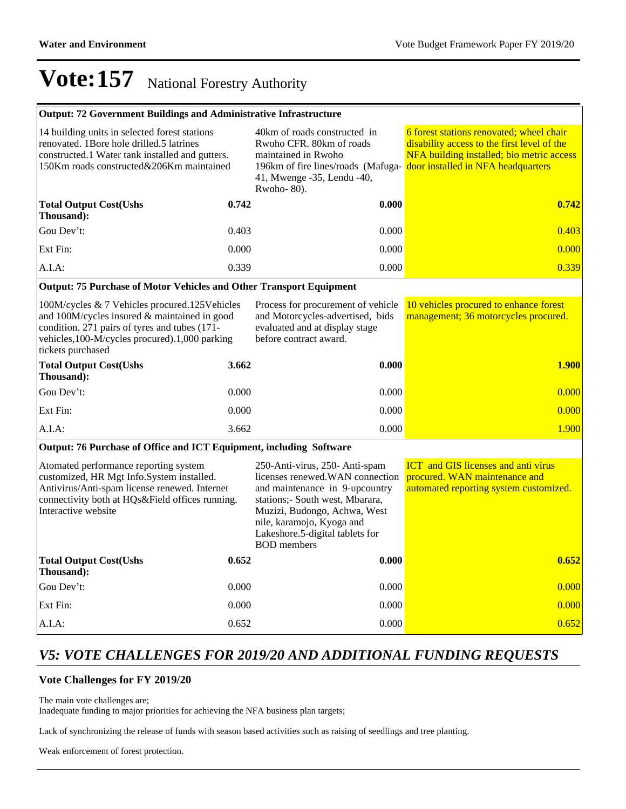| Output: 72 Government Buildings and Administrative Infrastructure |  |
|-------------------------------------------------------------------|--|
|-------------------------------------------------------------------|--|

| 14 building units in selected forest stations<br>renovated. 1 Bore hole drilled.5 latrines<br>constructed.1 Water tank installed and gutters.<br>150Km roads constructed&206Km maintained |       | 40km of roads constructed in<br>Rwoho CFR. 80km of roads<br>maintained in Rwoho<br>196km of fire lines/roads (Mafuga-<br>41, Mwenge -35, Lendu -40,<br>Rwoho- $80$ ). | 6 forest stations renovated; wheel chair<br>disability access to the first level of the<br>NFA building installed; bio metric access<br>door installed in NFA headquarters |  |
|-------------------------------------------------------------------------------------------------------------------------------------------------------------------------------------------|-------|-----------------------------------------------------------------------------------------------------------------------------------------------------------------------|----------------------------------------------------------------------------------------------------------------------------------------------------------------------------|--|
| <b>Total Output Cost(Ushs</b><br>Thousand):                                                                                                                                               | 0.742 | 0.000                                                                                                                                                                 | 0.742                                                                                                                                                                      |  |
| Gou Dev't:                                                                                                                                                                                | 0.403 | 0.000                                                                                                                                                                 | 0.403                                                                                                                                                                      |  |
| Ext Fin:                                                                                                                                                                                  | 0.000 | 0.000                                                                                                                                                                 | 0.000                                                                                                                                                                      |  |
| $A.I.A$ :                                                                                                                                                                                 | 0.339 | 0.000                                                                                                                                                                 | 0.339                                                                                                                                                                      |  |

#### **Output: 75 Purchase of Motor Vehicles and Other Transport Equipment**

100M/cycles & 7 Vehicles procured.125Vehicles and 100M/cycles insured & maintained in good condition. 271 pairs of tyres and tubes (171 vehicles,100-M/cycles procured).1,000 parking tickets purchased Process for procurement of vehicle and Motorcycles-advertised, bids evaluated and at display stage before contract award. 10 vehicles procured to enhance forest management; 36 motorcycles procured. **Total Output Cost(Ushs Thousand): 3.662 0.000 1.900** Gou Dev't: 0.000 0.000 0.000 0.000 0.000 0.000 0.000 0.000 0.000 0.000 0.000 0.000 0.000 0.000 0.000 0.000 0.0 Ext Fin: 2000 0.000 0.000 0.000 0.000 0.000 0.000 0.000 0.000 0.000 0.000 0.000 0.000 0.000 0.000 0.000 0.000 0 A.I.A: 2000 1.900 1.900 1.900 1.900 1.900 1.900 1.900 1.900 1.900 1.900 1.900 1.900 1.900 1.900 1.900 1.900 1.9

#### **Output: 76 Purchase of Office and ICT Equipment, including Software**

| Atomated performance reporting system<br>customized, HR Mgt Info.System installed.<br>Antivirus/Anti-spam license renewed. Internet<br>connectivity both at HQs&Field offices running.<br>Interactive website |       | 250-Anti-virus, 250- Anti-spam<br>licenses renewed. WAN connection<br>and maintenance in 9-upcountry<br>stations: South west, Mbarara,<br>Muzizi, Budongo, Achwa, West<br>nile, karamojo, Kyoga and<br>Lakeshore.5-digital tablets for<br><b>BOD</b> members | <b>ICT</b> and GIS licenses and anti virus<br>procured. WAN maintenance and<br>automated reporting system customized. |  |
|---------------------------------------------------------------------------------------------------------------------------------------------------------------------------------------------------------------|-------|--------------------------------------------------------------------------------------------------------------------------------------------------------------------------------------------------------------------------------------------------------------|-----------------------------------------------------------------------------------------------------------------------|--|
| <b>Total Output Cost (Ushs)</b><br>Thousand):                                                                                                                                                                 | 0.652 | 0.000                                                                                                                                                                                                                                                        | 0.652                                                                                                                 |  |
| Gou Dev't:                                                                                                                                                                                                    | 0.000 | 0.000                                                                                                                                                                                                                                                        | 0.000                                                                                                                 |  |
| Ext Fin:                                                                                                                                                                                                      | 0.000 | 0.000                                                                                                                                                                                                                                                        | 0.000                                                                                                                 |  |
| $A.I.A$ :                                                                                                                                                                                                     | 0.652 | 0.000                                                                                                                                                                                                                                                        | 0.652                                                                                                                 |  |

## *V5: VOTE CHALLENGES FOR 2019/20 AND ADDITIONAL FUNDING REQUESTS*

#### **Vote Challenges for FY 2019/20**

The main vote challenges are;

Inadequate funding to major priorities for achieving the NFA business plan targets;

Lack of synchronizing the release of funds with season based activities such as raising of seedlings and tree planting.

Weak enforcement of forest protection.